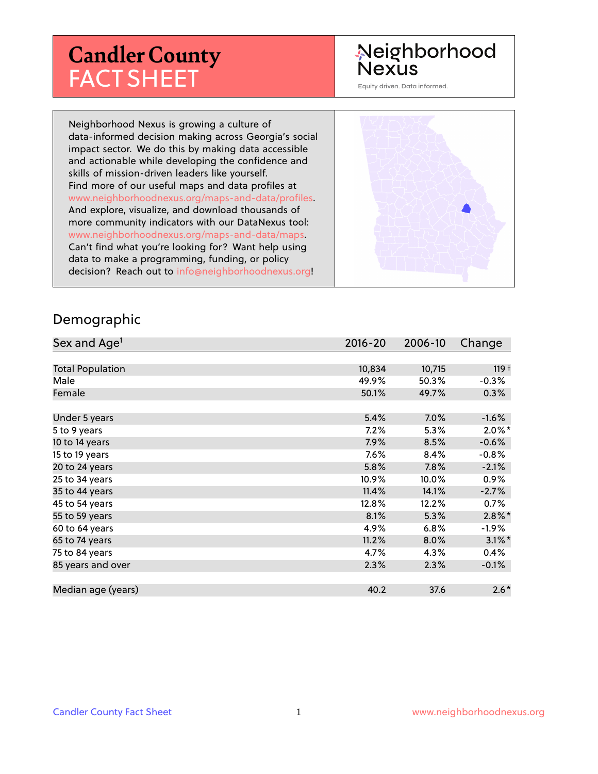# **Candler County** FACT SHEET

# Neighborhood **Nexus**

Equity driven. Data informed.

Neighborhood Nexus is growing a culture of data-informed decision making across Georgia's social impact sector. We do this by making data accessible and actionable while developing the confidence and skills of mission-driven leaders like yourself. Find more of our useful maps and data profiles at www.neighborhoodnexus.org/maps-and-data/profiles. And explore, visualize, and download thousands of more community indicators with our DataNexus tool: www.neighborhoodnexus.org/maps-and-data/maps. Can't find what you're looking for? Want help using data to make a programming, funding, or policy decision? Reach out to [info@neighborhoodnexus.org!](mailto:info@neighborhoodnexus.org)



#### Demographic

| Sex and Age <sup>1</sup> | $2016 - 20$ | 2006-10 | Change    |
|--------------------------|-------------|---------|-----------|
|                          |             |         |           |
| <b>Total Population</b>  | 10,834      | 10,715  | $119 +$   |
| Male                     | 49.9%       | 50.3%   | $-0.3%$   |
| Female                   | 50.1%       | 49.7%   | $0.3\%$   |
|                          |             |         |           |
| Under 5 years            | 5.4%        | 7.0%    | $-1.6%$   |
| 5 to 9 years             | $7.2\%$     | 5.3%    | $2.0\%$ * |
| 10 to 14 years           | $7.9\%$     | 8.5%    | $-0.6%$   |
| 15 to 19 years           | 7.6%        | 8.4%    | $-0.8%$   |
| 20 to 24 years           | 5.8%        | 7.8%    | $-2.1%$   |
| 25 to 34 years           | 10.9%       | 10.0%   | 0.9%      |
| 35 to 44 years           | 11.4%       | 14.1%   | $-2.7%$   |
| 45 to 54 years           | 12.8%       | 12.2%   | $0.7\%$   |
| 55 to 59 years           | 8.1%        | 5.3%    | $2.8\%$ * |
| 60 to 64 years           | 4.9%        | 6.8%    | $-1.9\%$  |
| 65 to 74 years           | 11.2%       | 8.0%    | $3.1\%$ * |
| 75 to 84 years           | 4.7%        | 4.3%    | 0.4%      |
| 85 years and over        | 2.3%        | 2.3%    | $-0.1%$   |
|                          |             |         |           |
| Median age (years)       | 40.2        | 37.6    | $2.6*$    |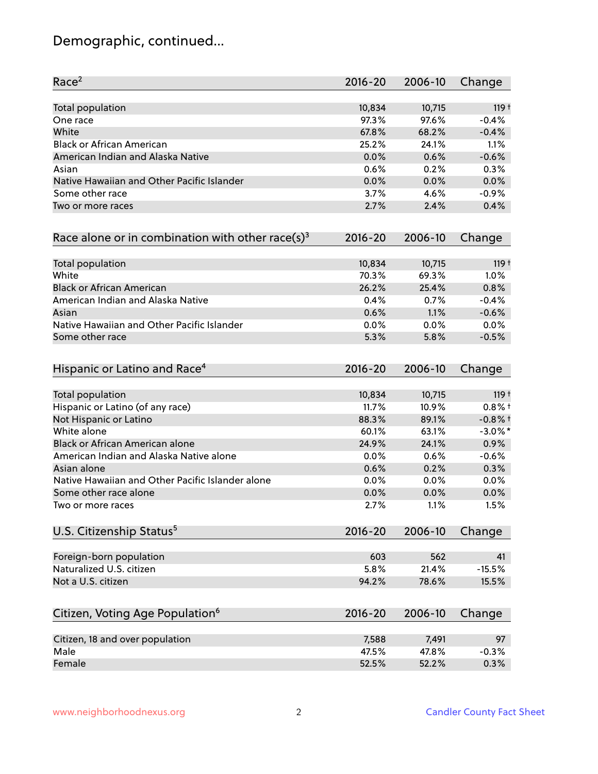# Demographic, continued...

| Race <sup>2</sup>                                            | 2016-20     | 2006-10 | Change           |
|--------------------------------------------------------------|-------------|---------|------------------|
| <b>Total population</b>                                      | 10,834      | 10,715  | 119 <sup>†</sup> |
| One race                                                     | 97.3%       | 97.6%   | $-0.4%$          |
| White                                                        | 67.8%       | 68.2%   | $-0.4%$          |
| <b>Black or African American</b>                             | 25.2%       | 24.1%   | 1.1%             |
| American Indian and Alaska Native                            | 0.0%        | 0.6%    | $-0.6%$          |
| Asian                                                        | 0.6%        | 0.2%    | 0.3%             |
| Native Hawaiian and Other Pacific Islander                   | 0.0%        | 0.0%    | 0.0%             |
| Some other race                                              | 3.7%        | 4.6%    | $-0.9%$          |
| Two or more races                                            | 2.7%        | 2.4%    | 0.4%             |
| Race alone or in combination with other race(s) <sup>3</sup> | $2016 - 20$ | 2006-10 | Change           |
| Total population                                             | 10,834      | 10,715  | 119 <sup>†</sup> |
| White                                                        | 70.3%       | 69.3%   | 1.0%             |
| <b>Black or African American</b>                             | 26.2%       | 25.4%   | 0.8%             |
| American Indian and Alaska Native                            | 0.4%        | 0.7%    | $-0.4%$          |
| Asian                                                        | 0.6%        | 1.1%    | $-0.6%$          |
| Native Hawaiian and Other Pacific Islander                   | 0.0%        | 0.0%    | 0.0%             |
| Some other race                                              | 5.3%        | 5.8%    | $-0.5%$          |
| Hispanic or Latino and Race <sup>4</sup>                     | $2016 - 20$ | 2006-10 | Change           |
| <b>Total population</b>                                      | 10,834      | 10,715  | 119 <sup>†</sup> |
| Hispanic or Latino (of any race)                             | 11.7%       | 10.9%   | $0.8%$ +         |
| Not Hispanic or Latino                                       | 88.3%       | 89.1%   | $-0.8%$ +        |
| White alone                                                  | 60.1%       | 63.1%   | $-3.0\%$ *       |
| Black or African American alone                              | 24.9%       | 24.1%   | 0.9%             |
| American Indian and Alaska Native alone                      | 0.0%        | 0.6%    | $-0.6%$          |
| Asian alone                                                  | 0.6%        | 0.2%    | 0.3%             |
| Native Hawaiian and Other Pacific Islander alone             | 0.0%        | 0.0%    | 0.0%             |
| Some other race alone                                        | 0.0%        | 0.0%    | 0.0%             |
| Two or more races                                            | 2.7%        | 1.1%    | 1.5%             |
| U.S. Citizenship Status <sup>5</sup>                         | $2016 - 20$ | 2006-10 | Change           |
| Foreign-born population                                      | 603         | 562     | 41               |
| Naturalized U.S. citizen                                     | 5.8%        | 21.4%   | $-15.5%$         |
| Not a U.S. citizen                                           | 94.2%       | 78.6%   | 15.5%            |
| Citizen, Voting Age Population <sup>6</sup>                  | $2016 - 20$ | 2006-10 | Change           |
| Citizen, 18 and over population                              | 7,588       | 7,491   | 97               |
| Male                                                         | 47.5%       | 47.8%   | $-0.3%$          |
| Female                                                       | 52.5%       | 52.2%   | 0.3%             |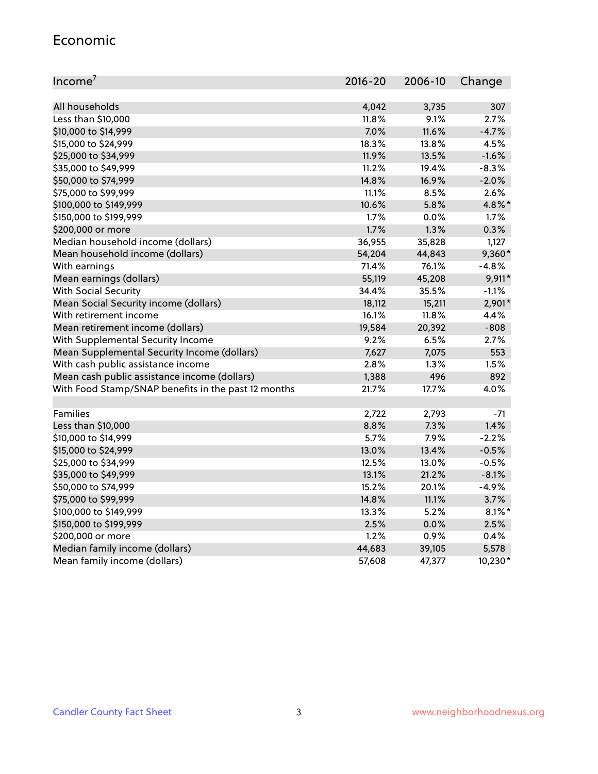#### Economic

| Income <sup>7</sup>                                 | $2016 - 20$ | 2006-10 | Change    |
|-----------------------------------------------------|-------------|---------|-----------|
|                                                     |             |         |           |
| All households                                      | 4,042       | 3,735   | 307       |
| Less than \$10,000                                  | 11.8%       | 9.1%    | 2.7%      |
| \$10,000 to \$14,999                                | 7.0%        | 11.6%   | $-4.7%$   |
| \$15,000 to \$24,999                                | 18.3%       | 13.8%   | 4.5%      |
| \$25,000 to \$34,999                                | 11.9%       | 13.5%   | $-1.6%$   |
| \$35,000 to \$49,999                                | 11.2%       | 19.4%   | $-8.3%$   |
| \$50,000 to \$74,999                                | 14.8%       | 16.9%   | $-2.0%$   |
| \$75,000 to \$99,999                                | 11.1%       | 8.5%    | 2.6%      |
| \$100,000 to \$149,999                              | 10.6%       | 5.8%    | 4.8%*     |
| \$150,000 to \$199,999                              | 1.7%        | 0.0%    | 1.7%      |
| \$200,000 or more                                   | 1.7%        | 1.3%    | 0.3%      |
| Median household income (dollars)                   | 36,955      | 35,828  | 1,127     |
| Mean household income (dollars)                     | 54,204      | 44,843  | $9,360*$  |
| With earnings                                       | 71.4%       | 76.1%   | $-4.8%$   |
| Mean earnings (dollars)                             | 55,119      | 45,208  | 9,911*    |
| <b>With Social Security</b>                         | 34.4%       | 35.5%   | $-1.1%$   |
| Mean Social Security income (dollars)               | 18,112      | 15,211  | 2,901*    |
| With retirement income                              | 16.1%       | 11.8%   | 4.4%      |
| Mean retirement income (dollars)                    | 19,584      | 20,392  | $-808$    |
| With Supplemental Security Income                   | 9.2%        | 6.5%    | 2.7%      |
| Mean Supplemental Security Income (dollars)         | 7,627       | 7,075   | 553       |
| With cash public assistance income                  | 2.8%        | $1.3\%$ | 1.5%      |
| Mean cash public assistance income (dollars)        | 1,388       | 496     | 892       |
| With Food Stamp/SNAP benefits in the past 12 months | 21.7%       | 17.7%   | 4.0%      |
|                                                     |             |         |           |
| Families                                            | 2,722       | 2,793   | -71       |
| Less than \$10,000                                  | 8.8%        | 7.3%    | 1.4%      |
| \$10,000 to \$14,999                                | 5.7%        | 7.9%    | $-2.2%$   |
| \$15,000 to \$24,999                                | 13.0%       | 13.4%   | $-0.5%$   |
| \$25,000 to \$34,999                                | 12.5%       | 13.0%   | $-0.5%$   |
| \$35,000 to \$49,999                                | 13.1%       | 21.2%   | $-8.1%$   |
| \$50,000 to \$74,999                                | 15.2%       | 20.1%   | $-4.9%$   |
| \$75,000 to \$99,999                                | 14.8%       | 11.1%   | 3.7%      |
| \$100,000 to \$149,999                              | 13.3%       | 5.2%    | $8.1\%$ * |
| \$150,000 to \$199,999                              | 2.5%        | 0.0%    | 2.5%      |
| \$200,000 or more                                   | 1.2%        | 0.9%    | 0.4%      |
| Median family income (dollars)                      | 44,683      | 39,105  | 5,578     |
| Mean family income (dollars)                        | 57,608      | 47,377  | 10,230*   |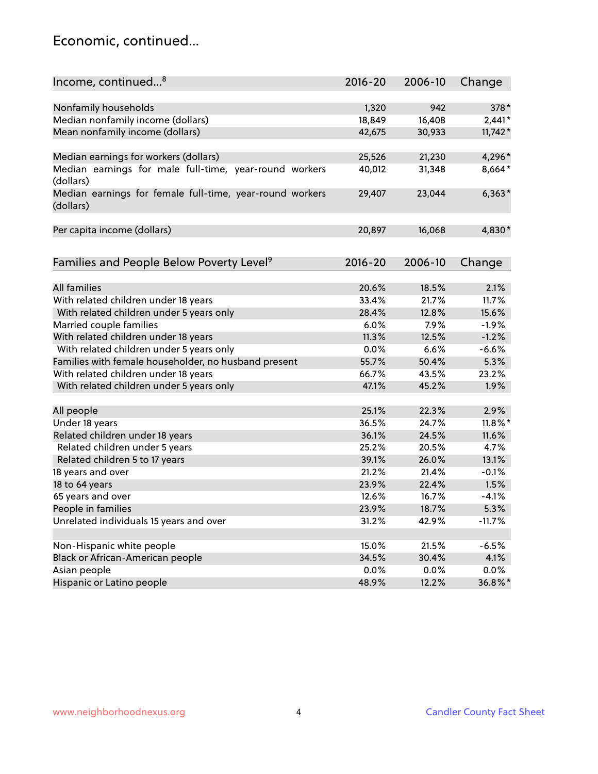### Economic, continued...

| Income, continued <sup>8</sup>                                        | $2016 - 20$ | 2006-10 | Change     |
|-----------------------------------------------------------------------|-------------|---------|------------|
|                                                                       |             |         |            |
| Nonfamily households                                                  | 1,320       | 942     | 378*       |
| Median nonfamily income (dollars)                                     | 18,849      | 16,408  | $2,441*$   |
| Mean nonfamily income (dollars)                                       | 42,675      | 30,933  | $11,742*$  |
| Median earnings for workers (dollars)                                 | 25,526      | 21,230  | 4,296*     |
| Median earnings for male full-time, year-round workers<br>(dollars)   | 40,012      | 31,348  | 8,664*     |
| Median earnings for female full-time, year-round workers<br>(dollars) | 29,407      | 23,044  | $6,363*$   |
| Per capita income (dollars)                                           | 20,897      | 16,068  | 4,830*     |
|                                                                       |             |         |            |
| Families and People Below Poverty Level <sup>9</sup>                  | $2016 - 20$ | 2006-10 | Change     |
| <b>All families</b>                                                   | 20.6%       | 18.5%   | 2.1%       |
| With related children under 18 years                                  | 33.4%       | 21.7%   | 11.7%      |
| With related children under 5 years only                              | 28.4%       | 12.8%   | 15.6%      |
| Married couple families                                               | 6.0%        | 7.9%    | $-1.9%$    |
| With related children under 18 years                                  | 11.3%       | 12.5%   | $-1.2%$    |
| With related children under 5 years only                              | 0.0%        | 6.6%    | $-6.6%$    |
| Families with female householder, no husband present                  | 55.7%       | 50.4%   | 5.3%       |
| With related children under 18 years                                  | 66.7%       | 43.5%   | 23.2%      |
| With related children under 5 years only                              | 47.1%       | 45.2%   | 1.9%       |
|                                                                       |             |         |            |
| All people                                                            | 25.1%       | 22.3%   | 2.9%       |
| Under 18 years                                                        | 36.5%       | 24.7%   | $11.8\%$ * |
| Related children under 18 years                                       | 36.1%       | 24.5%   | 11.6%      |
| Related children under 5 years                                        | 25.2%       | 20.5%   | 4.7%       |
| Related children 5 to 17 years                                        | 39.1%       | 26.0%   | 13.1%      |
| 18 years and over                                                     | 21.2%       | 21.4%   | $-0.1%$    |
| 18 to 64 years                                                        | 23.9%       | 22.4%   | 1.5%       |
| 65 years and over                                                     | 12.6%       | 16.7%   | $-4.1%$    |
| People in families                                                    | 23.9%       | 18.7%   | 5.3%       |
| Unrelated individuals 15 years and over                               | 31.2%       | 42.9%   | $-11.7%$   |
|                                                                       |             |         |            |
| Non-Hispanic white people                                             | 15.0%       | 21.5%   | $-6.5%$    |
| Black or African-American people                                      | 34.5%       | 30.4%   | 4.1%       |
| Asian people                                                          | $0.0\%$     | 0.0%    | $0.0\%$    |
| Hispanic or Latino people                                             | 48.9%       | 12.2%   | 36.8%*     |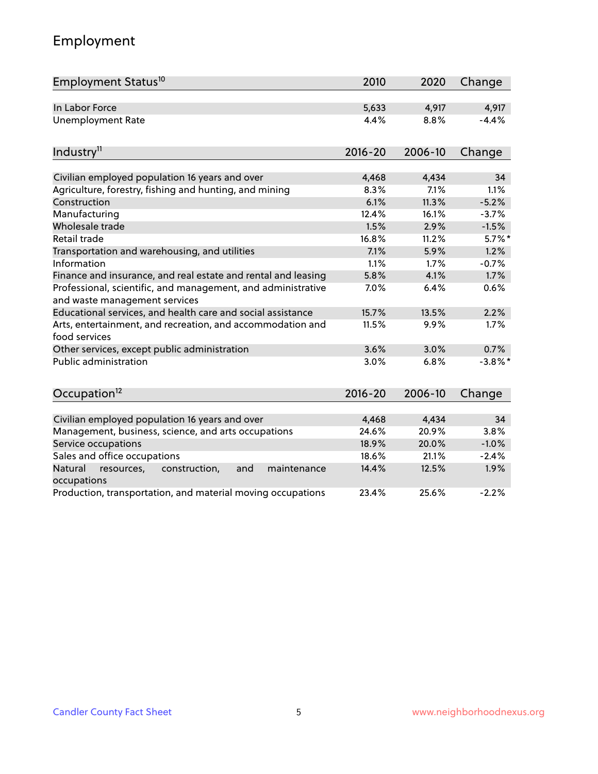# Employment

| Employment Status <sup>10</sup>                                                               | 2010        | 2020    | Change     |
|-----------------------------------------------------------------------------------------------|-------------|---------|------------|
| In Labor Force                                                                                | 5,633       | 4,917   | 4,917      |
| <b>Unemployment Rate</b>                                                                      | 4.4%        | 8.8%    | $-4.4%$    |
| Industry <sup>11</sup>                                                                        | $2016 - 20$ | 2006-10 | Change     |
|                                                                                               |             |         |            |
| Civilian employed population 16 years and over                                                | 4,468       | 4,434   | 34         |
| Agriculture, forestry, fishing and hunting, and mining                                        | 8.3%        | 7.1%    | 1.1%       |
| Construction                                                                                  | 6.1%        | 11.3%   | $-5.2%$    |
| Manufacturing                                                                                 | 12.4%       | 16.1%   | $-3.7%$    |
| Wholesale trade                                                                               | 1.5%        | 2.9%    | $-1.5%$    |
| Retail trade                                                                                  | 16.8%       | 11.2%   | $5.7\%$ *  |
| Transportation and warehousing, and utilities                                                 | 7.1%        | 5.9%    | 1.2%       |
| Information                                                                                   | 1.1%        | 1.7%    | $-0.7%$    |
| Finance and insurance, and real estate and rental and leasing                                 | 5.8%        | 4.1%    | 1.7%       |
| Professional, scientific, and management, and administrative<br>and waste management services | 7.0%        | 6.4%    | 0.6%       |
| Educational services, and health care and social assistance                                   | 15.7%       | 13.5%   | 2.2%       |
| Arts, entertainment, and recreation, and accommodation and<br>food services                   | 11.5%       | 9.9%    | 1.7%       |
| Other services, except public administration                                                  | 3.6%        | 3.0%    | 0.7%       |
| <b>Public administration</b>                                                                  | 3.0%        | 6.8%    | $-3.8\%$ * |
| Occupation <sup>12</sup>                                                                      | $2016 - 20$ | 2006-10 | Change     |
|                                                                                               |             |         |            |
| Civilian employed population 16 years and over                                                | 4,468       | 4,434   | 34         |
| Management, business, science, and arts occupations                                           | 24.6%       | 20.9%   | 3.8%       |
| Service occupations                                                                           | 18.9%       | 20.0%   | $-1.0%$    |
| Sales and office occupations                                                                  | 18.6%       | 21.1%   | $-2.4%$    |
| Natural<br>resources,<br>construction,<br>and<br>maintenance<br>occupations                   | 14.4%       | 12.5%   | 1.9%       |
| Production, transportation, and material moving occupations                                   | 23.4%       | 25.6%   | $-2.2%$    |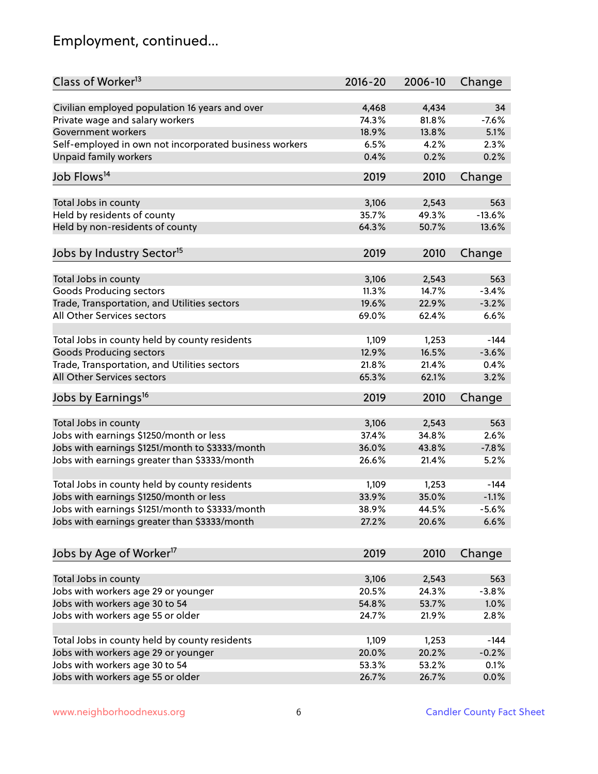# Employment, continued...

| Class of Worker <sup>13</sup>                          | $2016 - 20$    | 2006-10        | Change   |
|--------------------------------------------------------|----------------|----------------|----------|
| Civilian employed population 16 years and over         | 4,468          | 4,434          | 34       |
| Private wage and salary workers                        | 74.3%          | 81.8%          | $-7.6%$  |
| Government workers                                     | 18.9%          | 13.8%          | 5.1%     |
| Self-employed in own not incorporated business workers | 6.5%           | 4.2%           | 2.3%     |
| Unpaid family workers                                  | 0.4%           | 0.2%           | 0.2%     |
|                                                        |                |                |          |
| Job Flows <sup>14</sup>                                | 2019           | 2010           | Change   |
| Total Jobs in county                                   | 3,106          | 2,543          | 563      |
| Held by residents of county                            | 35.7%          | 49.3%          | $-13.6%$ |
| Held by non-residents of county                        | 64.3%          | 50.7%          | 13.6%    |
|                                                        |                |                |          |
| Jobs by Industry Sector <sup>15</sup>                  | 2019           | 2010           | Change   |
| Total Jobs in county                                   | 3,106          | 2,543          | 563      |
| Goods Producing sectors                                | 11.3%          | 14.7%          | $-3.4%$  |
| Trade, Transportation, and Utilities sectors           | 19.6%          | 22.9%          | $-3.2%$  |
| All Other Services sectors                             | 69.0%          | 62.4%          | 6.6%     |
|                                                        |                |                |          |
| Total Jobs in county held by county residents          | 1,109          | 1,253          | $-144$   |
| <b>Goods Producing sectors</b>                         | 12.9%          | 16.5%          | $-3.6%$  |
| Trade, Transportation, and Utilities sectors           | 21.8%          | 21.4%          | 0.4%     |
| All Other Services sectors                             | 65.3%          | 62.1%          | 3.2%     |
| Jobs by Earnings <sup>16</sup>                         | 2019           | 2010           | Change   |
|                                                        |                |                | 563      |
| Total Jobs in county                                   | 3,106          | 2,543          | 2.6%     |
| Jobs with earnings \$1250/month or less                | 37.4%<br>36.0% | 34.8%<br>43.8% | $-7.8%$  |
| Jobs with earnings \$1251/month to \$3333/month        |                |                |          |
| Jobs with earnings greater than \$3333/month           | 26.6%          | 21.4%          | 5.2%     |
| Total Jobs in county held by county residents          | 1,109          | 1,253          | $-144$   |
| Jobs with earnings \$1250/month or less                | 33.9%          | 35.0%          | $-1.1%$  |
| Jobs with earnings \$1251/month to \$3333/month        | 38.9%          | 44.5%          | -5.6%    |
| Jobs with earnings greater than \$3333/month           | 27.2%          | 20.6%          | 6.6%     |
|                                                        |                |                |          |
| Jobs by Age of Worker <sup>17</sup>                    | 2019           | 2010           | Change   |
| Total Jobs in county                                   | 3,106          | 2,543          | 563      |
| Jobs with workers age 29 or younger                    | 20.5%          | 24.3%          | $-3.8%$  |
| Jobs with workers age 30 to 54                         | 54.8%          | 53.7%          | 1.0%     |
| Jobs with workers age 55 or older                      | 24.7%          | 21.9%          | 2.8%     |
|                                                        |                |                |          |
| Total Jobs in county held by county residents          | 1,109          | 1,253          | $-144$   |
| Jobs with workers age 29 or younger                    | 20.0%          | 20.2%          | $-0.2%$  |
| Jobs with workers age 30 to 54                         | 53.3%          | 53.2%          | 0.1%     |
| Jobs with workers age 55 or older                      | 26.7%          | 26.7%          | 0.0%     |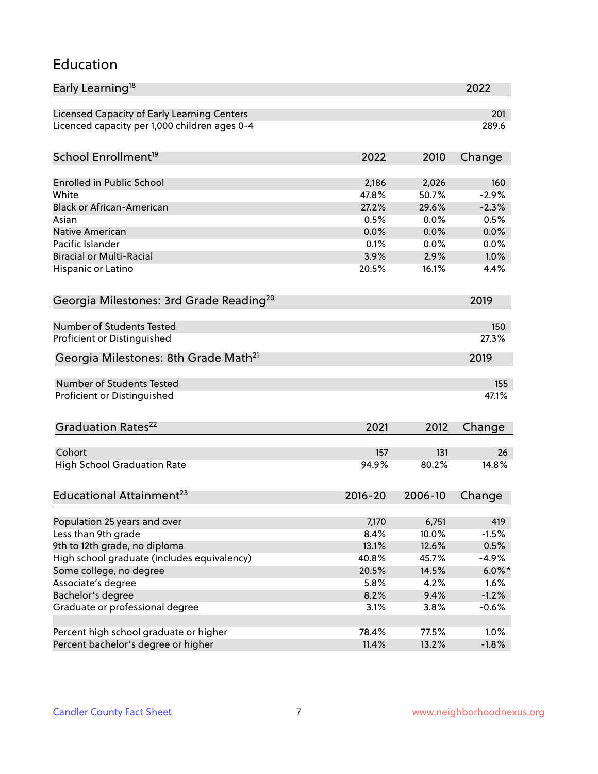#### Education

| Early Learning <sup>18</sup>                        |             |         | 2022      |
|-----------------------------------------------------|-------------|---------|-----------|
| Licensed Capacity of Early Learning Centers         |             |         | 201       |
| Licenced capacity per 1,000 children ages 0-4       |             |         | 289.6     |
| School Enrollment <sup>19</sup>                     | 2022        | 2010    | Change    |
|                                                     |             |         |           |
| <b>Enrolled in Public School</b>                    | 2,186       | 2,026   | 160       |
| White                                               | 47.8%       | 50.7%   | $-2.9%$   |
| <b>Black or African-American</b>                    | 27.2%       | 29.6%   | $-2.3%$   |
| Asian                                               | 0.5%        | 0.0%    | 0.5%      |
| <b>Native American</b>                              | 0.0%        | 0.0%    | 0.0%      |
| Pacific Islander                                    | 0.1%        | 0.0%    | 0.0%      |
| <b>Biracial or Multi-Racial</b>                     | 3.9%        | 2.9%    | 1.0%      |
| Hispanic or Latino                                  | 20.5%       | 16.1%   | 4.4%      |
| Georgia Milestones: 3rd Grade Reading <sup>20</sup> |             |         | 2019      |
|                                                     |             |         |           |
| Number of Students Tested                           |             |         | 150       |
| Proficient or Distinguished                         |             |         | 27.3%     |
| Georgia Milestones: 8th Grade Math <sup>21</sup>    |             |         | 2019      |
| Number of Students Tested                           |             |         | 155       |
| Proficient or Distinguished                         |             |         | 47.1%     |
| Graduation Rates <sup>22</sup>                      | 2021        | 2012    |           |
|                                                     |             |         | Change    |
| Cohort                                              | 157         | 131     | 26        |
| <b>High School Graduation Rate</b>                  | 94.9%       | 80.2%   | 14.8%     |
| Educational Attainment <sup>23</sup>                | $2016 - 20$ | 2006-10 | Change    |
|                                                     |             |         |           |
| Population 25 years and over                        | 7,170       | 6,751   | 419       |
| Less than 9th grade                                 | 8.4%        | 10.0%   | $-1.5%$   |
| 9th to 12th grade, no diploma                       | 13.1%       | 12.6%   | 0.5%      |
| High school graduate (includes equivalency)         | 40.8%       | 45.7%   | $-4.9%$   |
| Some college, no degree                             | 20.5%       | 14.5%   | $6.0\%$ * |
| Associate's degree                                  | 5.8%        | 4.2%    | 1.6%      |
| Bachelor's degree                                   | 8.2%        | 9.4%    | $-1.2%$   |
| Graduate or professional degree                     | 3.1%        | 3.8%    | $-0.6%$   |
|                                                     |             |         |           |
| Percent high school graduate or higher              | 78.4%       | 77.5%   | 1.0%      |
| Percent bachelor's degree or higher                 | 11.4%       | 13.2%   | $-1.8%$   |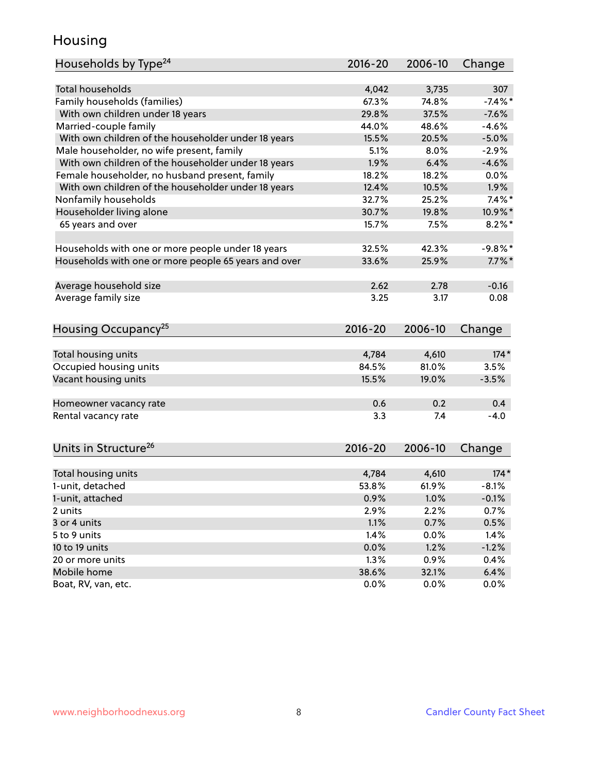### Housing

| Households by Type <sup>24</sup>                     | 2016-20     | 2006-10 | Change    |
|------------------------------------------------------|-------------|---------|-----------|
|                                                      |             |         |           |
| Total households                                     | 4,042       | 3,735   | 307       |
| Family households (families)                         | 67.3%       | 74.8%   | $-7.4%$   |
| With own children under 18 years                     | 29.8%       | 37.5%   | $-7.6%$   |
| Married-couple family                                | 44.0%       | 48.6%   | $-4.6%$   |
| With own children of the householder under 18 years  | 15.5%       | 20.5%   | $-5.0%$   |
| Male householder, no wife present, family            | 5.1%        | 8.0%    | $-2.9%$   |
| With own children of the householder under 18 years  | 1.9%        | 6.4%    | $-4.6%$   |
| Female householder, no husband present, family       | 18.2%       | 18.2%   | 0.0%      |
| With own children of the householder under 18 years  | 12.4%       | 10.5%   | 1.9%      |
| Nonfamily households                                 | 32.7%       | 25.2%   | $7.4\%$ * |
| Householder living alone                             | 30.7%       | 19.8%   | 10.9%*    |
| 65 years and over                                    | 15.7%       | 7.5%    | $8.2\%$ * |
|                                                      |             |         |           |
| Households with one or more people under 18 years    | 32.5%       | 42.3%   | $-9.8%$ * |
| Households with one or more people 65 years and over | 33.6%       | 25.9%   | $7.7\%$ * |
|                                                      |             |         |           |
| Average household size                               | 2.62        | 2.78    | $-0.16$   |
| Average family size                                  | 3.25        | 3.17    | 0.08      |
|                                                      |             |         |           |
| Housing Occupancy <sup>25</sup>                      | 2016-20     | 2006-10 | Change    |
|                                                      |             |         |           |
| Total housing units                                  | 4,784       | 4,610   | $174*$    |
| Occupied housing units                               | 84.5%       | 81.0%   | 3.5%      |
| Vacant housing units                                 | 15.5%       | 19.0%   | $-3.5%$   |
|                                                      |             |         |           |
| Homeowner vacancy rate                               | 0.6         | 0.2     | 0.4       |
| Rental vacancy rate                                  | 3.3         | 7.4     | $-4.0$    |
|                                                      |             |         |           |
|                                                      |             |         |           |
| Units in Structure <sup>26</sup>                     | $2016 - 20$ | 2006-10 | Change    |
|                                                      |             |         |           |
| Total housing units                                  | 4,784       | 4,610   | $174*$    |
| 1-unit, detached                                     | 53.8%       | 61.9%   | $-8.1%$   |
| 1-unit, attached                                     | 0.9%        | $1.0\%$ | $-0.1%$   |
| 2 units                                              | 2.9%        | 2.2%    | 0.7%      |
| 3 or 4 units                                         | 1.1%        | 0.7%    | 0.5%      |
| 5 to 9 units                                         | 1.4%        | 0.0%    | 1.4%      |
| 10 to 19 units                                       | 0.0%        | 1.2%    | $-1.2%$   |
| 20 or more units                                     | 1.3%        | 0.9%    | 0.4%      |
| Mobile home                                          | 38.6%       | 32.1%   | 6.4%      |
| Boat, RV, van, etc.                                  | 0.0%        | 0.0%    | 0.0%      |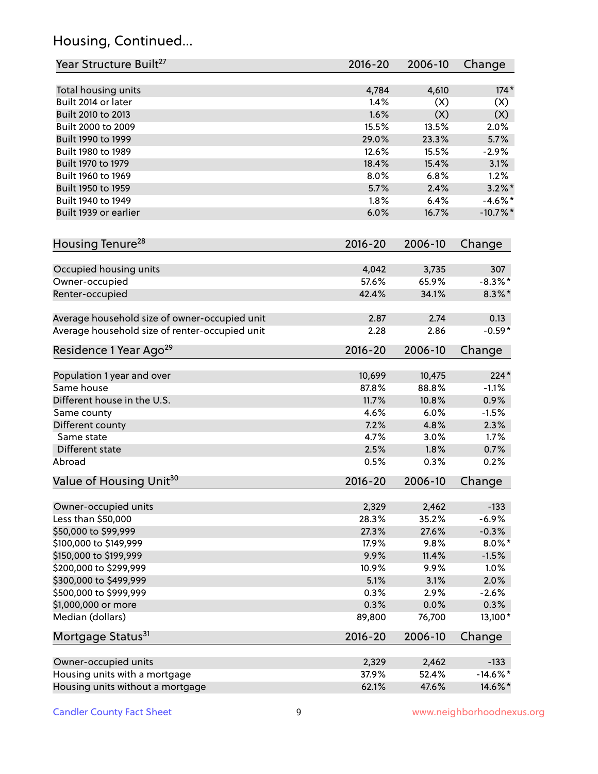# Housing, Continued...

| Year Structure Built <sup>27</sup>             | 2016-20        | 2006-10        | Change            |
|------------------------------------------------|----------------|----------------|-------------------|
| Total housing units                            | 4,784          | 4,610          | $174*$            |
| Built 2014 or later                            | 1.4%           | (X)            | (X)               |
| Built 2010 to 2013                             | 1.6%           | (X)            | (X)               |
| Built 2000 to 2009                             | 15.5%          | 13.5%          | 2.0%              |
| Built 1990 to 1999                             | 29.0%          | 23.3%          | 5.7%              |
| Built 1980 to 1989                             | 12.6%          | 15.5%          | $-2.9%$           |
| Built 1970 to 1979                             | 18.4%          | 15.4%          | 3.1%              |
| Built 1960 to 1969                             | 8.0%           | 6.8%           | 1.2%              |
| Built 1950 to 1959                             | 5.7%           | 2.4%           | $3.2\%$ *         |
| Built 1940 to 1949                             | 1.8%           | 6.4%           | $-4.6\%$ *        |
| Built 1939 or earlier                          | 6.0%           | 16.7%          | $-10.7%$ *        |
| Housing Tenure <sup>28</sup>                   | 2016-20        | 2006-10        | Change            |
|                                                |                |                |                   |
| Occupied housing units                         | 4,042<br>57.6% | 3,735<br>65.9% | 307<br>$-8.3\%$ * |
| Owner-occupied                                 | 42.4%          | 34.1%          | $8.3\%$ *         |
| Renter-occupied                                |                |                |                   |
| Average household size of owner-occupied unit  | 2.87           | 2.74           | 0.13              |
| Average household size of renter-occupied unit | 2.28           | 2.86           | $-0.59*$          |
| Residence 1 Year Ago <sup>29</sup>             | 2016-20        | 2006-10        | Change            |
|                                                |                |                |                   |
| Population 1 year and over                     | 10,699         | 10,475         | $224*$            |
| Same house                                     | 87.8%          | 88.8%          | $-1.1%$           |
| Different house in the U.S.                    | 11.7%          | 10.8%          | 0.9%              |
| Same county                                    | 4.6%           | 6.0%           | $-1.5%$           |
| Different county                               | 7.2%           | 4.8%           | 2.3%              |
| Same state                                     | 4.7%           | 3.0%           | 1.7%              |
| Different state                                | 2.5%           | 1.8%           | 0.7%              |
| Abroad                                         | 0.5%           | 0.3%           | 0.2%              |
| Value of Housing Unit <sup>30</sup>            | 2016-20        | 2006-10        | Change            |
| Owner-occupied units                           | 2,329          | 2,462          | $-133$            |
| Less than \$50,000                             | 28.3%          | 35.2%          | $-6.9%$           |
| \$50,000 to \$99,999                           | 27.3%          | 27.6%          | $-0.3%$           |
| \$100,000 to \$149,999                         | 17.9%          | 9.8%           | $8.0\%$ *         |
| \$150,000 to \$199,999                         | 9.9%           | 11.4%          | $-1.5%$           |
| \$200,000 to \$299,999                         | 10.9%          | 9.9%           | 1.0%              |
| \$300,000 to \$499,999                         | 5.1%           | 3.1%           | 2.0%              |
| \$500,000 to \$999,999                         | 0.3%           | 2.9%           | $-2.6%$           |
| \$1,000,000 or more                            | 0.3%           | 0.0%           | 0.3%              |
| Median (dollars)                               | 89,800         | 76,700         | 13,100*           |
| Mortgage Status <sup>31</sup>                  | $2016 - 20$    | 2006-10        | Change            |
| Owner-occupied units                           | 2,329          | 2,462          | $-133$            |
| Housing units with a mortgage                  | 37.9%          | 52.4%          | $-14.6\%$ *       |
| Housing units without a mortgage               | 62.1%          | 47.6%          | 14.6%*            |
|                                                |                |                |                   |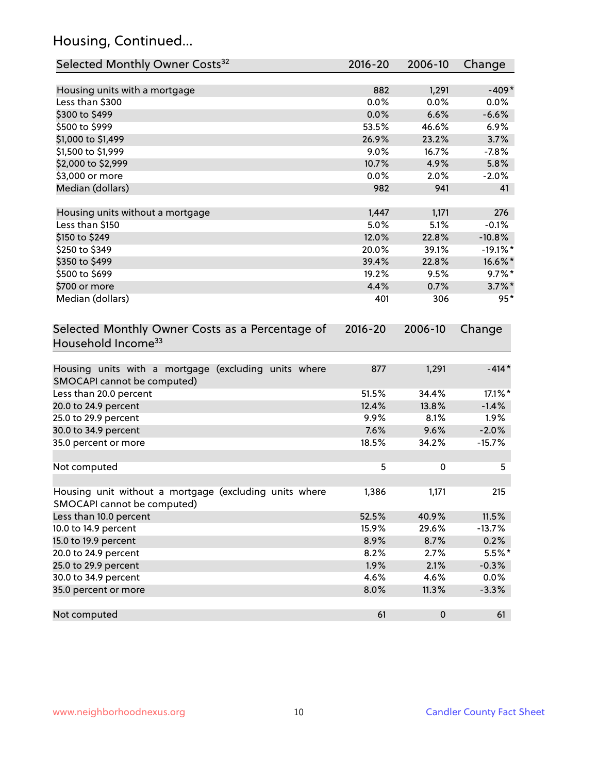# Housing, Continued...

| Selected Monthly Owner Costs <sup>32</sup>                                            | 2016-20     | 2006-10   | Change      |
|---------------------------------------------------------------------------------------|-------------|-----------|-------------|
| Housing units with a mortgage                                                         | 882         | 1,291     | $-409*$     |
| Less than \$300                                                                       | 0.0%        | 0.0%      | 0.0%        |
| \$300 to \$499                                                                        | 0.0%        | 6.6%      | $-6.6%$     |
| \$500 to \$999                                                                        | 53.5%       | 46.6%     | 6.9%        |
| \$1,000 to \$1,499                                                                    | 26.9%       | 23.2%     | 3.7%        |
| \$1,500 to \$1,999                                                                    | 9.0%        | 16.7%     | $-7.8%$     |
| \$2,000 to \$2,999                                                                    | 10.7%       | 4.9%      | 5.8%        |
| \$3,000 or more                                                                       | 0.0%        | 2.0%      | $-2.0%$     |
| Median (dollars)                                                                      | 982         | 941       | 41          |
| Housing units without a mortgage                                                      | 1,447       | 1,171     | 276         |
| Less than \$150                                                                       | 5.0%        | 5.1%      | $-0.1%$     |
| \$150 to \$249                                                                        | 12.0%       | 22.8%     | $-10.8%$    |
| \$250 to \$349                                                                        | 20.0%       | 39.1%     | $-19.1\%$ * |
| \$350 to \$499                                                                        | 39.4%       | 22.8%     | 16.6%*      |
| \$500 to \$699                                                                        | 19.2%       | 9.5%      | $9.7\%$ *   |
| \$700 or more                                                                         | 4.4%        | 0.7%      | $3.7\%$ *   |
| Median (dollars)                                                                      | 401         | 306       | $95*$       |
| Selected Monthly Owner Costs as a Percentage of<br>Household Income <sup>33</sup>     | $2016 - 20$ | 2006-10   | Change      |
| Housing units with a mortgage (excluding units where<br>SMOCAPI cannot be computed)   | 877         | 1,291     | $-414*$     |
| Less than 20.0 percent                                                                | 51.5%       | 34.4%     | 17.1%*      |
| 20.0 to 24.9 percent                                                                  | 12.4%       | 13.8%     | $-1.4%$     |
| 25.0 to 29.9 percent                                                                  | 9.9%        | 8.1%      | 1.9%        |
| 30.0 to 34.9 percent                                                                  | 7.6%        | 9.6%      | $-2.0%$     |
| 35.0 percent or more                                                                  | 18.5%       | 34.2%     | $-15.7%$    |
| Not computed                                                                          | 5           | 0         | 5           |
| Housing unit without a mortgage (excluding units where<br>SMOCAPI cannot be computed) | 1,386       | 1,171     | 215         |
| Less than 10.0 percent                                                                | 52.5%       | 40.9%     | 11.5%       |
| 10.0 to 14.9 percent                                                                  | 15.9%       | 29.6%     | $-13.7%$    |
| 15.0 to 19.9 percent                                                                  | 8.9%        | 8.7%      | 0.2%        |
| 20.0 to 24.9 percent                                                                  | 8.2%        | 2.7%      | $5.5%$ *    |
| 25.0 to 29.9 percent                                                                  | 1.9%        | 2.1%      | $-0.3%$     |
| 30.0 to 34.9 percent                                                                  | 4.6%        | 4.6%      | 0.0%        |
| 35.0 percent or more                                                                  | 8.0%        | 11.3%     | $-3.3%$     |
| Not computed                                                                          | 61          | $\pmb{0}$ | 61          |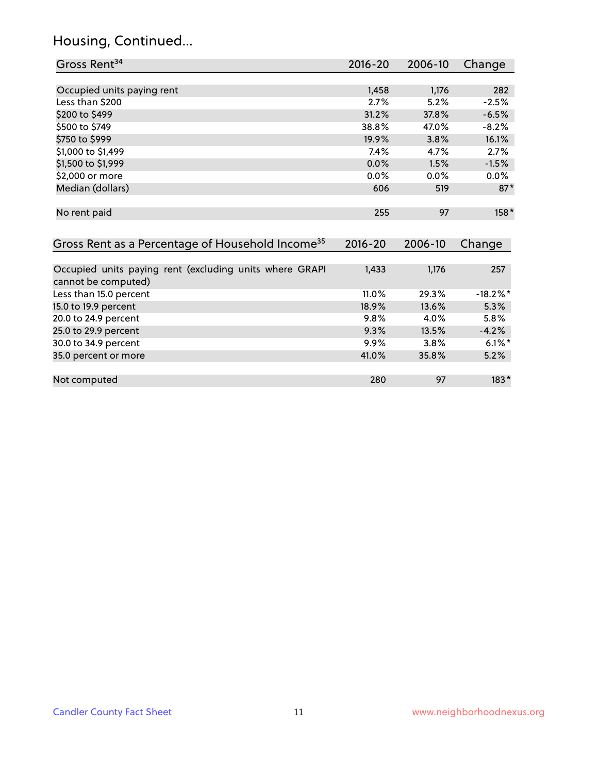# Housing, Continued...

| Gross Rent <sup>34</sup>                                                       | 2016-20     | 2006-10 | Change      |
|--------------------------------------------------------------------------------|-------------|---------|-------------|
|                                                                                |             |         |             |
| Occupied units paying rent                                                     | 1,458       | 1,176   | 282         |
| Less than \$200                                                                | 2.7%        | 5.2%    | $-2.5%$     |
| \$200 to \$499                                                                 | 31.2%       | 37.8%   | $-6.5%$     |
| \$500 to \$749                                                                 | 38.8%       | 47.0%   | $-8.2%$     |
| \$750 to \$999                                                                 | 19.9%       | 3.8%    | 16.1%       |
| \$1,000 to \$1,499                                                             | 7.4%        | 4.7%    | 2.7%        |
| \$1,500 to \$1,999                                                             | 0.0%        | 1.5%    | $-1.5%$     |
| \$2,000 or more                                                                | $0.0\%$     | 0.0%    | 0.0%        |
| Median (dollars)                                                               | 606         | 519     | $87*$       |
| No rent paid                                                                   | 255         | 97      | 158*        |
| Gross Rent as a Percentage of Household Income <sup>35</sup>                   | $2016 - 20$ | 2006-10 | Change      |
| Occupied units paying rent (excluding units where GRAPI<br>cannot be computed) | 1,433       | 1,176   | 257         |
| Less than 15.0 percent                                                         | 11.0%       | 29.3%   | $-18.2\%$ * |
| 15.0 to 19.9 percent                                                           | 18.9%       | 13.6%   | 5.3%        |
| 20.0 to 24.9 percent                                                           | 9.8%        | 4.0%    | 5.8%        |
| 25.0 to 29.9 percent                                                           | 9.3%        | 13.5%   | $-4.2%$     |
| 30.0 to 34.9 percent                                                           | 9.9%        | 3.8%    | $6.1\%$ *   |
| 35.0 percent or more                                                           | 41.0%       | 35.8%   | 5.2%        |
| Not computed                                                                   | 280         | 97      | $183*$      |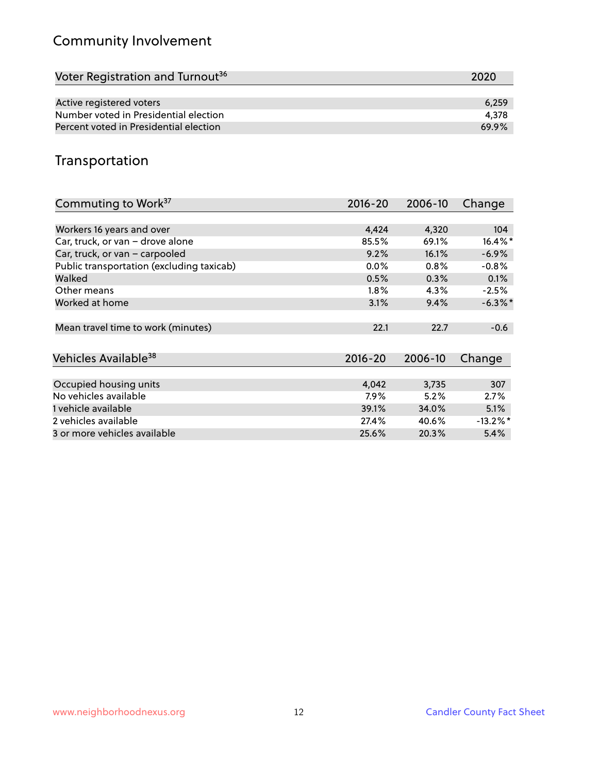# Community Involvement

| Voter Registration and Turnout <sup>36</sup> | 2020  |
|----------------------------------------------|-------|
|                                              |       |
| Active registered voters                     | 6.259 |
| Number voted in Presidential election        | 4.378 |
| Percent voted in Presidential election       | 69.9% |

## Transportation

| Commuting to Work <sup>37</sup>           | 2016-20     | 2006-10 | Change      |
|-------------------------------------------|-------------|---------|-------------|
|                                           |             |         |             |
| Workers 16 years and over                 | 4,424       | 4,320   | 104         |
| Car, truck, or van - drove alone          | 85.5%       | 69.1%   | $16.4\%$ *  |
| Car, truck, or van - carpooled            | 9.2%        | 16.1%   | $-6.9%$     |
| Public transportation (excluding taxicab) | $0.0\%$     | 0.8%    | $-0.8%$     |
| Walked                                    | 0.5%        | 0.3%    | 0.1%        |
| Other means                               | 1.8%        | 4.3%    | $-2.5%$     |
| Worked at home                            | 3.1%        | 9.4%    | $-6.3\%$ *  |
|                                           |             |         |             |
| Mean travel time to work (minutes)        | 22.1        | 22.7    | $-0.6$      |
|                                           |             |         |             |
| Vehicles Available <sup>38</sup>          | $2016 - 20$ | 2006-10 | Change      |
|                                           |             |         |             |
| Occupied housing units                    | 4,042       | 3,735   | 307         |
| No vehicles available                     | 7.9%        | 5.2%    | 2.7%        |
| 1 vehicle available                       | 39.1%       | 34.0%   | 5.1%        |
| 2 vehicles available                      | 27.4%       | 40.6%   | $-13.2\%$ * |
| 3 or more vehicles available              | 25.6%       | 20.3%   | 5.4%        |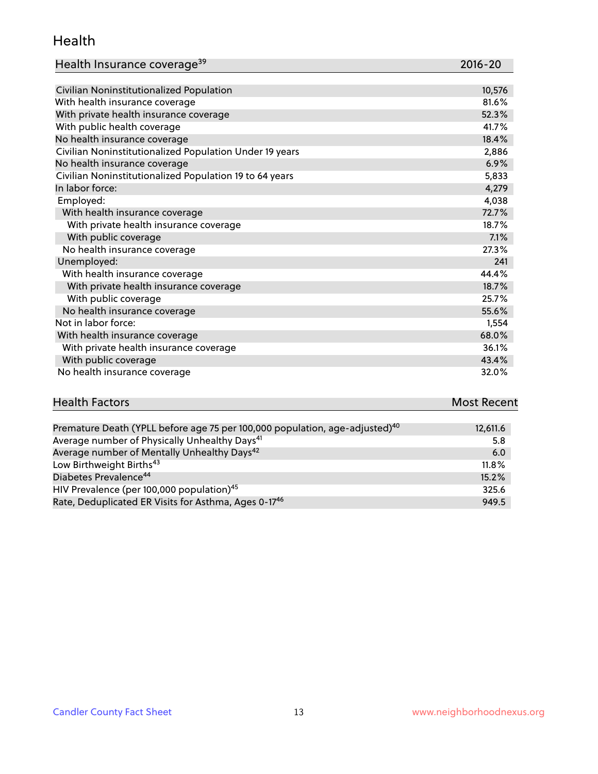#### Health

| Health Insurance coverage <sup>39</sup> | 2016-20 |
|-----------------------------------------|---------|
|-----------------------------------------|---------|

| Civilian Noninstitutionalized Population                | 10,576 |
|---------------------------------------------------------|--------|
| With health insurance coverage                          | 81.6%  |
| With private health insurance coverage                  | 52.3%  |
| With public health coverage                             | 41.7%  |
| No health insurance coverage                            | 18.4%  |
| Civilian Noninstitutionalized Population Under 19 years | 2,886  |
| No health insurance coverage                            | 6.9%   |
| Civilian Noninstitutionalized Population 19 to 64 years | 5,833  |
| In labor force:                                         | 4,279  |
| Employed:                                               | 4,038  |
| With health insurance coverage                          | 72.7%  |
| With private health insurance coverage                  | 18.7%  |
| With public coverage                                    | 7.1%   |
| No health insurance coverage                            | 27.3%  |
| Unemployed:                                             | 241    |
| With health insurance coverage                          | 44.4%  |
| With private health insurance coverage                  | 18.7%  |
| With public coverage                                    | 25.7%  |
| No health insurance coverage                            | 55.6%  |
| Not in labor force:                                     | 1,554  |
| With health insurance coverage                          | 68.0%  |
| With private health insurance coverage                  | 36.1%  |
| With public coverage                                    | 43.4%  |
| No health insurance coverage                            | 32.0%  |

| <b>Health Factors</b> | <b>Most Recent</b> |
|-----------------------|--------------------|
|                       | ________           |

| Premature Death (YPLL before age 75 per 100,000 population, age-adjusted) <sup>40</sup> | 12,611.6 |
|-----------------------------------------------------------------------------------------|----------|
| Average number of Physically Unhealthy Days <sup>41</sup>                               | 5.8      |
| Average number of Mentally Unhealthy Days <sup>42</sup>                                 | 6.0      |
| Low Birthweight Births <sup>43</sup>                                                    | 11.8%    |
| Diabetes Prevalence <sup>44</sup>                                                       | 15.2%    |
| HIV Prevalence (per 100,000 population) <sup>45</sup>                                   | 325.6    |
| Rate, Deduplicated ER Visits for Asthma, Ages 0-17 <sup>46</sup>                        | 949.5    |